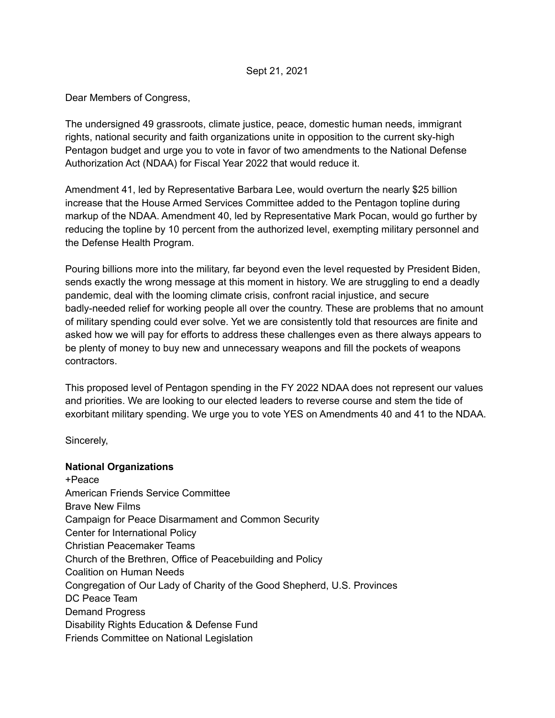## Sept 21, 2021

Dear Members of Congress,

The undersigned 49 grassroots, climate justice, peace, domestic human needs, immigrant rights, national security and faith organizations unite in opposition to the current sky-high Pentagon budget and urge you to vote in favor of two amendments to the National Defense Authorization Act (NDAA) for Fiscal Year 2022 that would reduce it.

Amendment 41, led by Representative Barbara Lee, would overturn the nearly \$25 billion increase that the House Armed Services Committee added to the Pentagon topline during markup of the NDAA. Amendment 40, led by Representative Mark Pocan, would go further by reducing the topline by 10 percent from the authorized level, exempting military personnel and the Defense Health Program.

Pouring billions more into the military, far beyond even the level requested by President Biden, sends exactly the wrong message at this moment in history. We are struggling to end a deadly pandemic, deal with the looming climate crisis, confront racial injustice, and secure badly-needed relief for working people all over the country. These are problems that no amount of military spending could ever solve. Yet we are consistently told that resources are finite and asked how we will pay for efforts to address these challenges even as there always appears to be plenty of money to buy new and unnecessary weapons and fill the pockets of weapons contractors.

This proposed level of Pentagon spending in the FY 2022 NDAA does not represent our values and priorities. We are looking to our elected leaders to reverse course and stem the tide of exorbitant military spending. We urge you to vote YES on Amendments 40 and 41 to the NDAA.

Sincerely,

## **National Organizations**

+Peace American Friends Service Committee Brave New Films Campaign for Peace Disarmament and Common Security Center for International Policy Christian Peacemaker Teams Church of the Brethren, Office of Peacebuilding and Policy Coalition on Human Needs Congregation of Our Lady of Charity of the Good Shepherd, U.S. Provinces DC Peace Team Demand Progress Disability Rights Education & Defense Fund Friends Committee on National Legislation